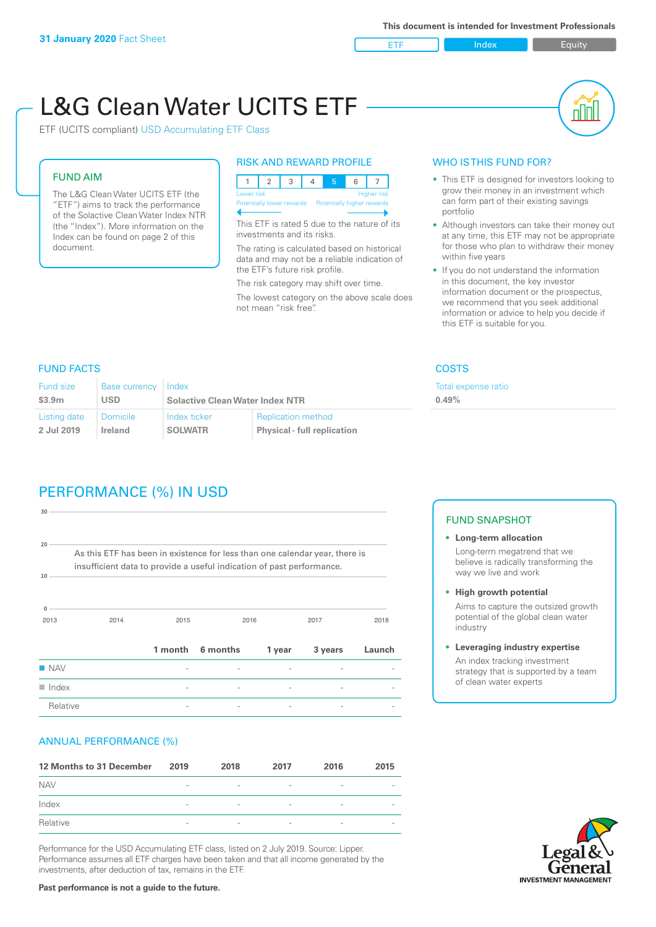ETF Index Builty

# L&G Clean Water UCITS ETF

ETF (UCITS compliant) USD Accumulating ETF Class

### FUND AIM

The L&G Clean Water UCITS ETF (the "ETF") aims to track the performance of the Solactive Clean Water Index NTR (the "Index"). More information on the Index can be found on page 2 of this document.

#### RISK AND REWARD PROFILE

|                                                      | Lower risk<br><b>Higher risk</b> |  |  |  |  |  |  |  |  |
|------------------------------------------------------|----------------------------------|--|--|--|--|--|--|--|--|
| Potentially lower rewards Potentially higher rewards |                                  |  |  |  |  |  |  |  |  |
|                                                      |                                  |  |  |  |  |  |  |  |  |

This ETF is rated 5 due to the nature of its investments and its risks.

The rating is calculated based on historical data and may not be a reliable indication of the ETF's future risk profile.

The risk category may shift over time. The lowest category on the above scale does not mean "risk free".

#### WHO IS THIS FUND FOR?

- This ETF is designed for investors looking to grow their money in an investment which can form part of their existing savings portfolio
- Although investors can take their money out at any time, this ETF may not be appropriate for those who plan to withdraw their money within five years
- If you do not understand the information in this document, the key investor information document or the prospectus, we recommend that you seek additional information or advice to help you decide if this ETF is suitable for you.

expense ratio

#### FUND FACTS COSTS

| <b>Fund size</b> | <b>Base currency</b> | Index                                  |                                    | Total e |
|------------------|----------------------|----------------------------------------|------------------------------------|---------|
| \$3.9m           | <b>USD</b>           | <b>Solactive Clean Water Index NTR</b> | 0.49%                              |         |
| Listing date     | <b>Domicile</b>      | Index ticker                           | <b>Replication method</b>          |         |
| 2 Jul 2019       | Ireland              | <b>SOLWATR</b>                         | <b>Physical - full replication</b> |         |

# PERFORMANCE (%) IN USD

| $30 -$               |                                                                                                                                                      |         |          |        |         |        |
|----------------------|------------------------------------------------------------------------------------------------------------------------------------------------------|---------|----------|--------|---------|--------|
| $20 -$<br>10         | As this ETF has been in existence for less than one calendar year, there is<br>insufficient data to provide a useful indication of past performance. |         |          |        |         |        |
|                      |                                                                                                                                                      |         |          |        |         |        |
| $\Omega$<br>2013     | 2014                                                                                                                                                 | 2015    |          | 2016   | 2017    | 2018   |
|                      |                                                                                                                                                      | 1 month | 6 months | 1 year | 3 years | Launch |
| <b>NAV</b>           |                                                                                                                                                      |         |          |        |         |        |
| $\blacksquare$ Index |                                                                                                                                                      |         |          |        |         |        |
| Relative             |                                                                                                                                                      |         |          |        |         |        |

#### ANNUAL PERFORMANCE (%)

| 12 Months to 31 December | 2019                     | 2018                     | 2017                     | 2016                     | 2015                     |
|--------------------------|--------------------------|--------------------------|--------------------------|--------------------------|--------------------------|
| <b>NAV</b>               | $\overline{\phantom{0}}$ | $\overline{\phantom{a}}$ | $\overline{\phantom{a}}$ | $\qquad \qquad$          |                          |
| Index                    | $\qquad \qquad$          | $\overline{\phantom{a}}$ | $\overline{\phantom{a}}$ | $\overline{\phantom{a}}$ | $\overline{\phantom{a}}$ |
| Relative                 | $\overline{\phantom{a}}$ | $\sim$                   | $\overline{\phantom{a}}$ | $\sim$                   | $\overline{\phantom{a}}$ |

Performance for the USD Accumulating ETF class, listed on 2 July 2019. Source: Lipper. Performance assumes all ETF charges have been taken and that all income generated by the investments, after deduction of tax, remains in the ETF.

#### FUND SNAPSHOT

- **• Long-term allocation** Long-term megatrend that we believe is radically transforming the way we live and work
- **• High growth potential**

Aims to capture the outsized growth potential of the global clean water industry

#### **• Leveraging industry expertise**

An index tracking investment strategy that is supported by a team of clean water experts

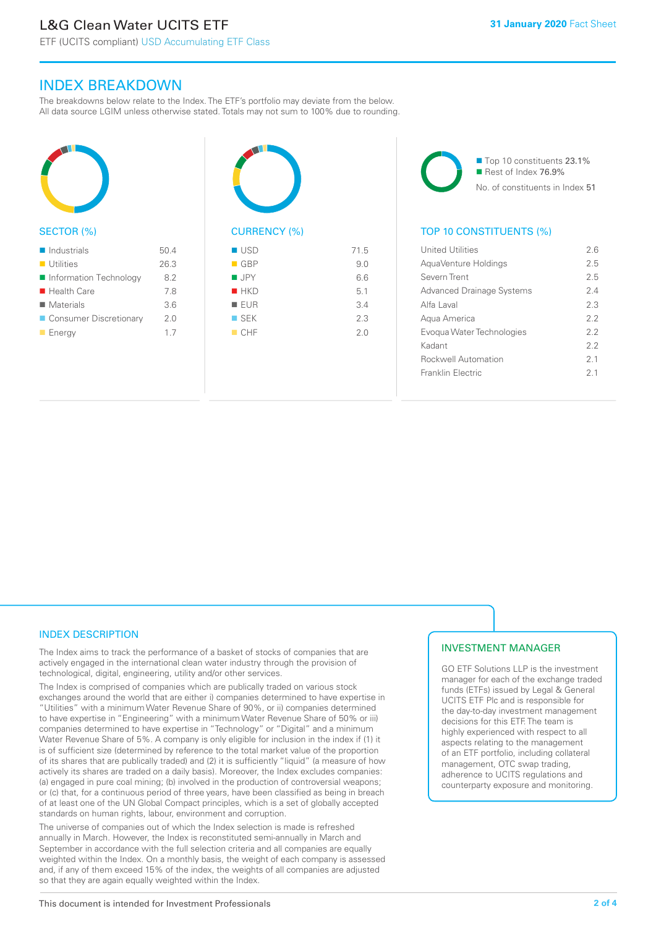ETF (UCITS compliant) USD Accumulating ETF Class

#### INDEX BREAKDOWN

The breakdowns below relate to the Index. The ETF's portfolio may deviate from the below. All data source LGIM unless otherwise stated. Totals may not sum to 100% due to rounding.



#### SECTOR (%)

| $\blacksquare$ Industrials | 50.4 |
|----------------------------|------|
| $\blacksquare$ Utilities   | 26.3 |
| Information Technology     | 8.2  |
| ■ Health Care              | 7.8  |
| $\blacksquare$ Materials   | 3.6  |
| ■ Consumer Discretionary   | 2 O  |
| $\blacksquare$ Energy      | 17   |



# $\blacksquare$  USD  $\blacksquare$  71.5

| $\blacksquare$ GBP | 9.0 |
|--------------------|-----|
| $\blacksquare$ JPY | 6.6 |
| HKD                | 5.1 |
| EUR                | 3.4 |
| $\square$ SEK      | 2.3 |
| CHF                | 2.0 |
|                    |     |



#### TOP 10 CONSTITUENTS (%)

| United Utilities                 | 26  |
|----------------------------------|-----|
| AguaVenture Holdings             | 25  |
| Severn Trent                     | 25  |
| <b>Advanced Drainage Systems</b> | 24  |
| Alfa Laval                       | 2.3 |
| Agua America                     | 22  |
| Evogua Water Technologies        | 22  |
| Kadant                           | 22  |
| <b>Rockwell Automation</b>       | 21  |
| Franklin Flectric                | 21  |
|                                  |     |

#### INDEX DESCRIPTION

The Index aims to track the performance of a basket of stocks of companies that are actively engaged in the international clean water industry through the provision of technological, digital, engineering, utility and/or other services.

The Index is comprised of companies which are publically traded on various stock exchanges around the world that are either i) companies determined to have expertise in "Utilities" with a minimum Water Revenue Share of 90%, or ii) companies determined to have expertise in "Engineering" with a minimum Water Revenue Share of 50% or iii) companies determined to have expertise in "Technology" or "Digital" and a minimum Water Revenue Share of 5%. A company is only eligible for inclusion in the index if (1) it is of sufficient size (determined by reference to the total market value of the proportion of its shares that are publically traded) and (2) it is sufficiently "liquid" (a measure of how actively its shares are traded on a daily basis). Moreover, the Index excludes companies: (a) engaged in pure coal mining; (b) involved in the production of controversial weapons; or (c) that, for a continuous period of three years, have been classified as being in breach of at least one of the UN Global Compact principles, which is a set of globally accepted standards on human rights, labour, environment and corruption.

The universe of companies out of which the Index selection is made is refreshed annually in March. However, the Index is reconstituted semi-annually in March and September in accordance with the full selection criteria and all companies are equally weighted within the Index. On a monthly basis, the weight of each company is assessed and, if any of them exceed 15% of the index, the weights of all companies are adjusted so that they are again equally weighted within the Index.

#### INVESTMENT MANAGER

GO ETF Solutions LLP is the investment manager for each of the exchange traded funds (ETFs) issued by Legal & General UCITS ETF Plc and is responsible for the day-to-day investment management decisions for this ETF. The team is highly experienced with respect to all aspects relating to the management of an ETF portfolio, including collateral management, OTC swap trading, adherence to UCITS regulations and counterparty exposure and monitoring.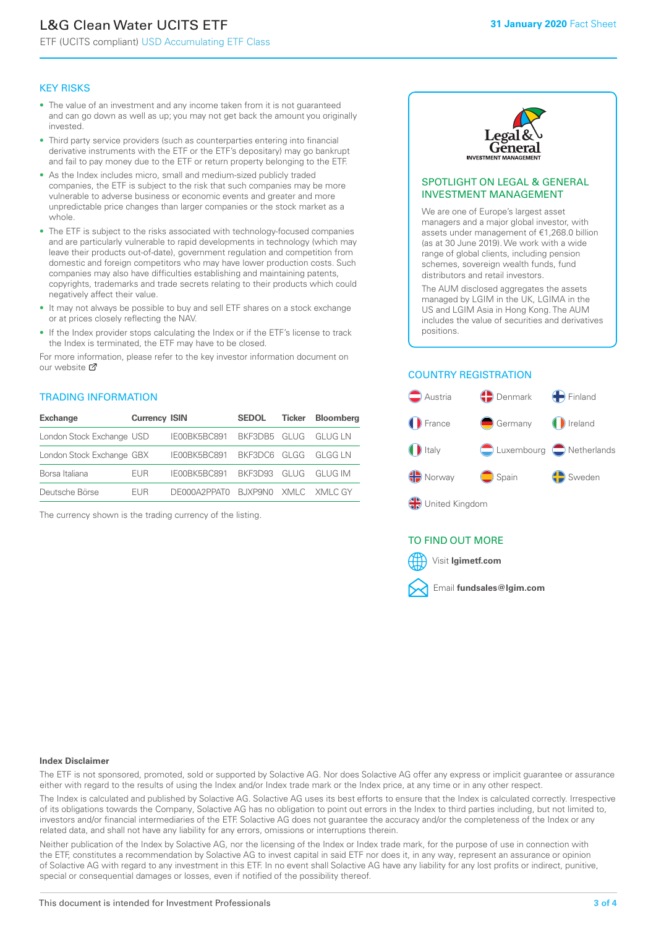# L&G Clean Water UCITS ETF

ETF (UCITS compliant) USD Accumulating ETF Class

#### KEY RISKS

- The value of an investment and any income taken from it is not guaranteed and can go down as well as up; you may not get back the amount you originally invested.
- Third party service providers (such as counterparties entering into financial derivative instruments with the ETF or the ETF's depositary) may go bankrupt and fail to pay money due to the ETF or return property belonging to the ETF.
- As the Index includes micro, small and medium-sized publicly traded companies, the ETF is subject to the risk that such companies may be more vulnerable to adverse business or economic events and greater and more unpredictable price changes than larger companies or the stock market as a whole.
- The ETF is subject to the risks associated with technology-focused companies and are particularly vulnerable to rapid developments in technology (which may leave their products out-of-date), government regulation and competition from domestic and foreign competitors who may have lower production costs. Such companies may also have difficulties establishing and maintaining patents, copyrights, trademarks and trade secrets relating to their products which could negatively affect their value.
- It may not always be possible to buy and sell ETF shares on a stock exchange or at prices closely reflecting the NAV.
- If the Index provider stops calculating the Index or if the ETF's license to track the Index is terminated, the ETF may have to be closed.

For more information, please refer to the key investor information document on our website Ø

#### TRADING INFORMATION

| <b>Exchange</b>           | <b>Currency ISIN</b> |                                   | <b>SEDOL</b> | Ticker | <b>Bloomberg</b> |
|---------------------------|----------------------|-----------------------------------|--------------|--------|------------------|
| London Stock Exchange USD |                      | IE00BK5BC891 BKF3DB5 GLUG GLUG LN |              |        |                  |
| London Stock Exchange GBX |                      | IE00BK5BC891 BKF3DC6 GLGG GLGG LN |              |        |                  |
| Borsa Italiana            | <b>FUR</b>           | IE00BK5BC891 BKF3D93 GLUG GLUG IM |              |        |                  |
| Deutsche Börse            | <b>FUR</b>           | DE000A2PPATO BJXP9NO XMLC XMLCGY  |              |        |                  |

The currency shown is the trading currency of the listing.



#### SPOTLIGHT ON LEGAL & GENERAL INVESTMENT MANAGEMENT

We are one of Europe's largest asset managers and a major global investor, with assets under management of €1,268.0 billion (as at 30 June 2019). We work with a wide range of global clients, including pension schemes, sovereign wealth funds, fund distributors and retail investors.

The AUM disclosed aggregates the assets managed by LGIM in the UK, LGIMA in the US and LGIM Asia in Hong Kong. The AUM includes the value of securities and derivatives positions.

#### COUNTRY REGISTRATION



#### TO FIND OUT MORE



#### **Index Disclaimer**

The ETF is not sponsored, promoted, sold or supported by Solactive AG. Nor does Solactive AG offer any express or implicit guarantee or assurance either with regard to the results of using the Index and/or Index trade mark or the Index price, at any time or in any other respect.

The Index is calculated and published by Solactive AG. Solactive AG uses its best efforts to ensure that the Index is calculated correctly. Irrespective of its obligations towards the Company, Solactive AG has no obligation to point out errors in the Index to third parties including, but not limited to, investors and/or financial intermediaries of the ETF. Solactive AG does not guarantee the accuracy and/or the completeness of the Index or any related data, and shall not have any liability for any errors, omissions or interruptions therein.

Neither publication of the Index by Solactive AG, nor the licensing of the Index or Index trade mark, for the purpose of use in connection with the ETF, constitutes a recommendation by Solactive AG to invest capital in said ETF nor does it, in any way, represent an assurance or opinion of Solactive AG with regard to any investment in this ETF. In no event shall Solactive AG have any liability for any lost profits or indirect, punitive, special or consequential damages or losses, even if notified of the possibility thereof.